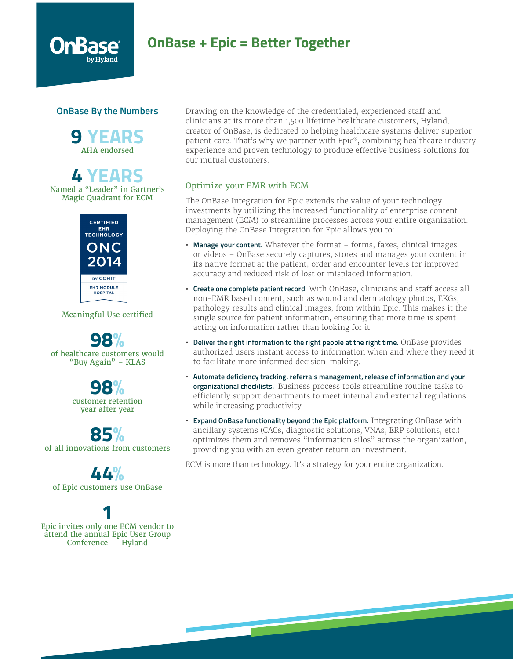# **OnBase + Epic = Better Together**

### **OnBase By the Numbers**

**9 YEARS** AHA endorsed

# **4 YEARS**

Named a "Leader" in Gartner's Magic Quadrant for ECM



Meaningful Use certified

**98%** of healthcare customers would "Buy Again" – KLAS

> **98%** customer retention year after year

**85%** of all innovations from customers

**44%** of Epic customers use OnBase

# **1**

Epic invites only one ECM vendor to attend the annual Epic User Group Conference — Hyland

Drawing on the knowledge of the credentialed, experienced staff and clinicians at its more than 1,500 lifetime healthcare customers, Hyland, creator of OnBase, is dedicated to helping healthcare systems deliver superior patient care. That's why we partner with Epic®, combining healthcare industry experience and proven technology to produce effective business solutions for our mutual customers.

## Optimize your EMR with ECM

The OnBase Integration for Epic extends the value of your technology investments by utilizing the increased functionality of enterprise content management (ECM) to streamline processes across your entire organization. Deploying the OnBase Integration for Epic allows you to:

- **Manage your content.** Whatever the format forms, faxes, clinical images or videos – OnBase securely captures, stores and manages your content in its native format at the patient, order and encounter levels for improved accuracy and reduced risk of lost or misplaced information.
- **Create one complete patient record.** With OnBase, clinicians and staff access all non-EMR based content, such as wound and dermatology photos, EKGs, pathology results and clinical images, from within Epic. This makes it the single source for patient information, ensuring that more time is spent acting on information rather than looking for it.
- **Deliver the right information to the right people at the right time.** OnBase provides authorized users instant access to information when and where they need it to facilitate more informed decision-making.
- **Automate deficiency tracking, referrals management, release of information and your organizational checklists.** Business process tools streamline routine tasks to efficiently support departments to meet internal and external regulations while increasing productivity.
- **Expand OnBase functionality beyond the Epic platform.** Integrating OnBase with ancillary systems (CACs, diagnostic solutions, VNAs, ERP solutions, etc.) optimizes them and removes "information silos" across the organization, providing you with an even greater return on investment.

ECM is more than technology. It's a strategy for your entire organization.